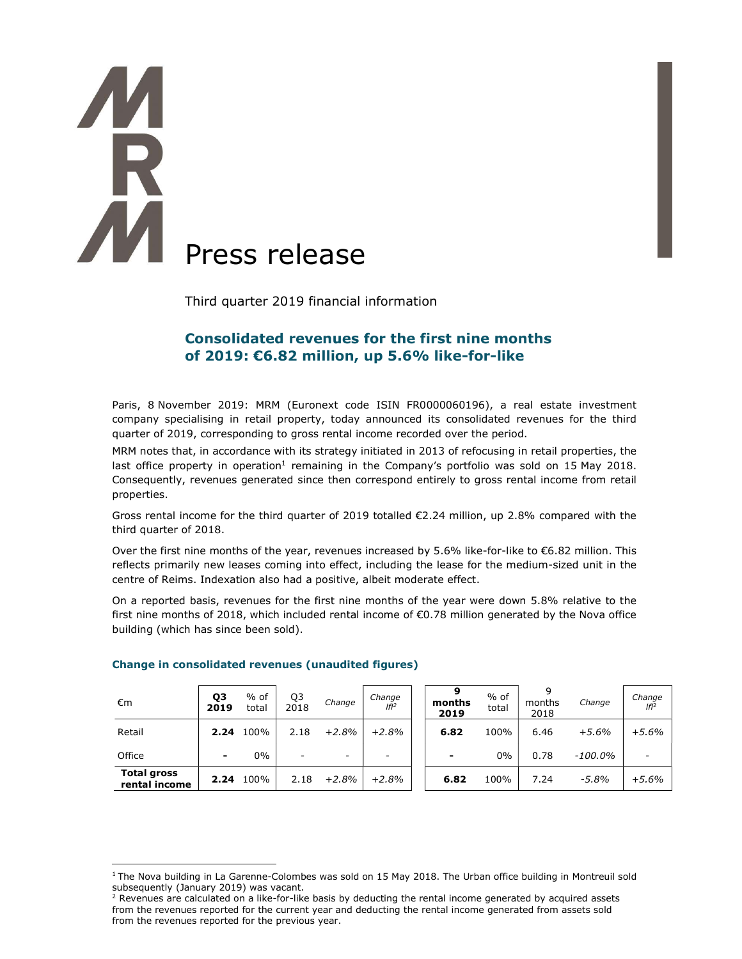# K **Press release**

Third quarter 2019 financial information

## Consolidated revenues for the first nine months of 2019: €6.82 million, up 5.6% like-for-like

Paris, 8 November 2019: MRM (Euronext code ISIN FR0000060196), a real estate investment company specialising in retail property, today announced its consolidated revenues for the third quarter of 2019, corresponding to gross rental income recorded over the period.

MRM notes that, in accordance with its strategy initiated in 2013 of refocusing in retail properties, the last office property in operation<sup>1</sup> remaining in the Company's portfolio was sold on 15 May 2018. Consequently, revenues generated since then correspond entirely to gross rental income from retail properties.

Gross rental income for the third quarter of 2019 totalled €2.24 million, up 2.8% compared with the third quarter of 2018.

Over the first nine months of the year, revenues increased by 5.6% like-for-like to €6.82 million. This reflects primarily new leases coming into effect, including the lease for the medium-sized unit in the centre of Reims. Indexation also had a positive, albeit moderate effect.

On a reported basis, revenues for the first nine months of the year were down 5.8% relative to the first nine months of 2018, which included rental income of €0.78 million generated by the Nova office building (which has since been sold).

| €m                                  | Q3<br>2019 | $%$ of<br>total | Q3<br>2018               | Change                   | Change<br>$If$ <sup>2</sup> | months<br>2019 | $%$ of<br>total | 9<br>months<br>2018 | Change     | Change<br>$If$ <sup>2</sup> |
|-------------------------------------|------------|-----------------|--------------------------|--------------------------|-----------------------------|----------------|-----------------|---------------------|------------|-----------------------------|
| Retail                              | 2.24       | 100%            | 2.18                     | $+2.8%$                  | $+2.8%$                     | 6.82           | 100%            | 6.46                | $+5.6%$    | $+5.6%$                     |
| Office                              | -          | $0\%$           | $\overline{\phantom{0}}$ | $\overline{\phantom{0}}$ | $\overline{\phantom{0}}$    | ۰              | 0%              | 0.78                | $-100.0\%$ |                             |
| <b>Total gross</b><br>rental income | 2.24       | 100%            | 2.18                     | $+2.8%$                  | $+2.8%$                     | 6.82           | 100%            | 7.24                | $-5.8\%$   | $+5.6%$                     |

### Change in consolidated revenues (unaudited figures)

 $1$ The Nova building in La Garenne-Colombes was sold on 15 May 2018. The Urban office building in Montreuil sold subsequently (January 2019) was vacant.

<sup>&</sup>lt;sup>2</sup> Revenues are calculated on a like-for-like basis by deducting the rental income generated by acquired assets from the revenues reported for the current year and deducting the rental income generated from assets sold from the revenues reported for the previous year.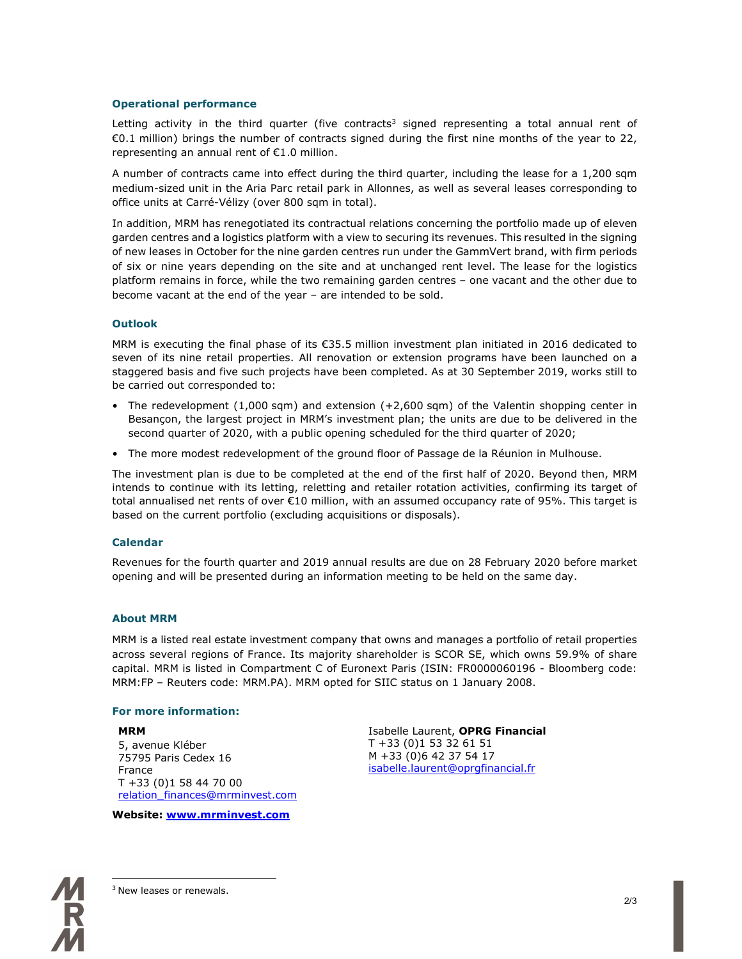### Operational performance

Letting activity in the third quarter (five contracts<sup>3</sup> signed representing a total annual rent of €0.1 million) brings the number of contracts signed during the first nine months of the year to 22, representing an annual rent of €1.0 million.

A number of contracts came into effect during the third quarter, including the lease for a 1,200 sqm medium-sized unit in the Aria Parc retail park in Allonnes, as well as several leases corresponding to office units at Carré-Vélizy (over 800 sqm in total).

In addition, MRM has renegotiated its contractual relations concerning the portfolio made up of eleven garden centres and a logistics platform with a view to securing its revenues. This resulted in the signing of new leases in October for the nine garden centres run under the GammVert brand, with firm periods of six or nine years depending on the site and at unchanged rent level. The lease for the logistics platform remains in force, while the two remaining garden centres – one vacant and the other due to become vacant at the end of the year – are intended to be sold.

### **Outlook**

MRM is executing the final phase of its €35.5 million investment plan initiated in 2016 dedicated to seven of its nine retail properties. All renovation or extension programs have been launched on a staggered basis and five such projects have been completed. As at 30 September 2019, works still to be carried out corresponded to:

- The redevelopment (1,000 sqm) and extension (+2,600 sqm) of the Valentin shopping center in Besançon, the largest project in MRM's investment plan; the units are due to be delivered in the second quarter of 2020, with a public opening scheduled for the third quarter of 2020;
- The more modest redevelopment of the ground floor of Passage de la Réunion in Mulhouse.

The investment plan is due to be completed at the end of the first half of 2020. Beyond then, MRM intends to continue with its letting, reletting and retailer rotation activities, confirming its target of total annualised net rents of over €10 million, with an assumed occupancy rate of 95%. This target is based on the current portfolio (excluding acquisitions or disposals).

### Calendar

Revenues for the fourth quarter and 2019 annual results are due on 28 February 2020 before market opening and will be presented during an information meeting to be held on the same day.

### About MRM

MRM is a listed real estate investment company that owns and manages a portfolio of retail properties across several regions of France. Its majority shareholder is SCOR SE, which owns 59.9% of share capital. MRM is listed in Compartment C of Euronext Paris (ISIN: FR0000060196 - Bloomberg code: MRM:FP – Reuters code: MRM.PA). MRM opted for SIIC status on 1 January 2008.

### For more information:

### MRM

5, avenue Kléber 75795 Paris Cedex 16 France T +33 (0)1 58 44 70 00 relation\_finances@mrminvest.com

Website: www.mrminvest.com

Isabelle Laurent, OPRG Financial T +33 (0)1 53 32 61 51 M +33 (0)6 42 37 54 17 isabelle.laurent@oprgfinancial.fr



3 New leases or renewals.